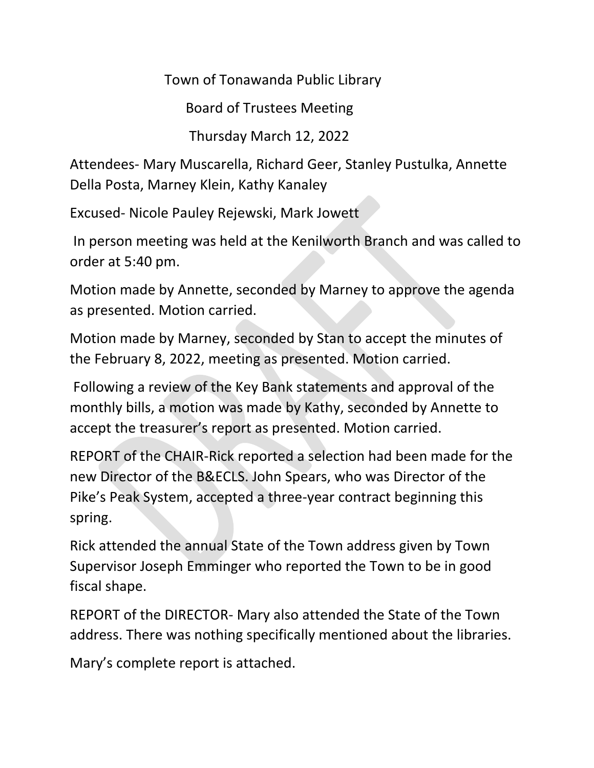Town of Tonawanda Public Library

Board of Trustees Meeting

Thursday March 12, 2022

Attendees- Mary Muscarella, Richard Geer, Stanley Pustulka, Annette Della Posta, Marney Klein, Kathy Kanaley

Excused- Nicole Pauley Rejewski, Mark Jowett

In person meeting was held at the Kenilworth Branch and was called to order at 5:40 pm.

Motion made by Annette, seconded by Marney to approve the agenda as presented. Motion carried.

Motion made by Marney, seconded by Stan to accept the minutes of the February 8, 2022, meeting as presented. Motion carried.

Following a review of the Key Bank statements and approval of the monthly bills, a motion was made by Kathy, seconded by Annette to accept the treasurer's report as presented. Motion carried.

REPORT of the CHAIR-Rick reported a selection had been made for the new Director of the B&ECLS. John Spears, who was Director of the Pike's Peak System, accepted a three-year contract beginning this spring.

Rick attended the annual State of the Town address given by Town Supervisor Joseph Emminger who reported the Town to be in good fiscal shape.

REPORT of the DIRECTOR- Mary also attended the State of the Town address. There was nothing specifically mentioned about the libraries.

Mary's complete report is attached.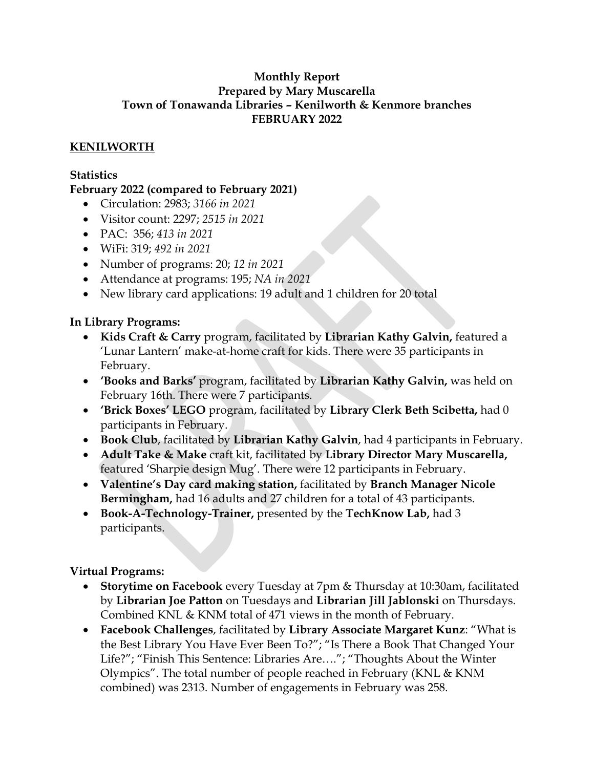#### **Monthly Report Prepared by Mary Muscarella Town of Tonawanda Libraries – Kenilworth & Kenmore branches FEBRUARY 2022**

# **KENILWORTH**

## **Statistics**

## **February 2022 (compared to February 2021)**

- Circulation: 2983; *3166 in 2021*
- Visitor count: 2297; *2515 in 2021*
- PAC: 356; *413 in 2021*
- WiFi: 319; *492 in 2021*
- Number of programs: 20; *12 in 2021*
- Attendance at programs: 195; *NA in 2021*
- New library card applications: 19 adult and 1 children for 20 total

## **In Library Programs:**

- **Kids Craft & Carry** program, facilitated by **Librarian Kathy Galvin,** featured a 'Lunar Lantern' make-at-home craft for kids. There were 35 participants in February.
- **'Books and Barks'** program, facilitated by **Librarian Kathy Galvin,** was held on February 16th. There were 7 participants.
- **'Brick Boxes' LEGO** program, facilitated by **Library Clerk Beth Scibetta,** had 0 participants in February.
- **Book Club**, facilitated by **Librarian Kathy Galvin**, had 4 participants in February.
- **Adult Take & Make** craft kit, facilitated by **Library Director Mary Muscarella,**  featured 'Sharpie design Mug'. There were 12 participants in February.
- **Valentine's Day card making station,** facilitated by **Branch Manager Nicole Bermingham,** had 16 adults and 27 children for a total of 43 participants.
- **Book-A-Technology-Trainer,** presented by the **TechKnow Lab,** had 3 participants.

## **Virtual Programs:**

- **Storytime on Facebook** every Tuesday at 7pm & Thursday at 10:30am, facilitated by **Librarian Joe Patton** on Tuesdays and **Librarian Jill Jablonski** on Thursdays. Combined KNL & KNM total of 471 views in the month of February.
- **Facebook Challenges**, facilitated by **Library Associate Margaret Kunz**: "What is the Best Library You Have Ever Been To?"; "Is There a Book That Changed Your Life?"; "Finish This Sentence: Libraries Are…."; "Thoughts About the Winter Olympics". The total number of people reached in February (KNL & KNM combined) was 2313. Number of engagements in February was 258.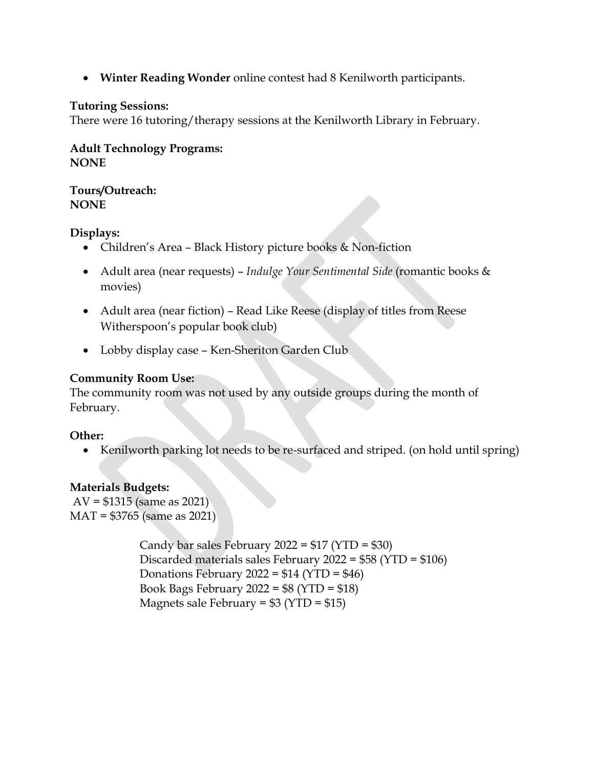**Winter Reading Wonder** online contest had 8 Kenilworth participants.

#### **Tutoring Sessions:**

There were 16 tutoring/therapy sessions at the Kenilworth Library in February.

**Adult Technology Programs: NONE**

**Tours/Outreach: NONE**

**Displays:**

- Children's Area Black History picture books & Non-fiction
- Adult area (near requests) *Indulge Your Sentimental Side* (romantic books & movies)
- Adult area (near fiction) Read Like Reese (display of titles from Reese Witherspoon's popular book club)
- Lobby display case Ken-Sheriton Garden Club

# **Community Room Use:**

The community room was not used by any outside groups during the month of February.

## **Other:**

• Kenilworth parking lot needs to be re-surfaced and striped. (on hold until spring)

## **Materials Budgets:**

 $AV = $1315$  (same as 2021) MAT = \$3765 (same as 2021)

> Candy bar sales February 2022 = \$17 (YTD = \$30) Discarded materials sales February 2022 = \$58 (YTD = \$106) Donations February 2022 =  $$14 (YTD = $46)$ Book Bags February 2022 = \$8 (YTD = \$18) Magnets sale February =  $$3 (YTD = $15)$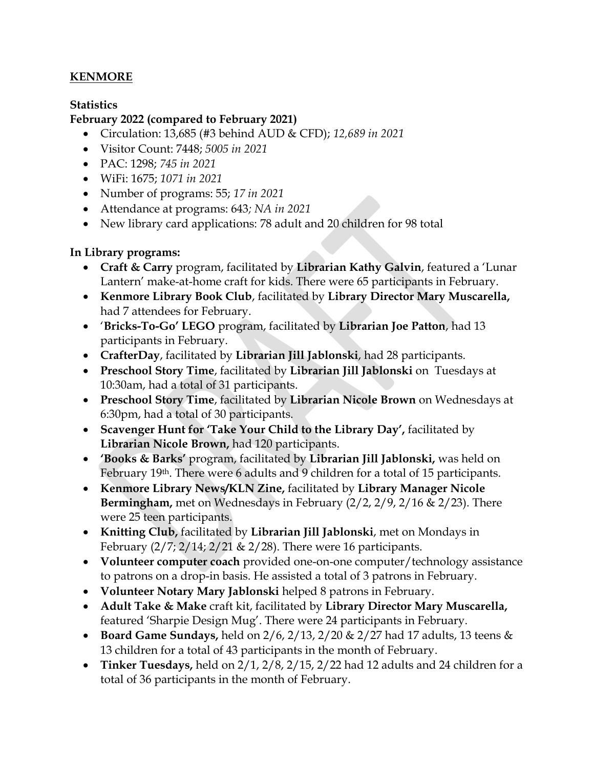# **KENMORE**

## **Statistics**

#### **February 2022 (compared to February 2021)**

- Circulation: 13,685 (#3 behind AUD & CFD); *12,689 in 2021*
- Visitor Count: 7448; *5005 in 2021*
- PAC: 1298; *745 in 2021*
- WiFi: 1675; *1071 in 2021*
- Number of programs: 55; *17 in 2021*
- Attendance at programs: 643*; NA in 2021*
- New library card applications: 78 adult and 20 children for 98 total

## **In Library programs:**

- **Craft & Carry** program, facilitated by **Librarian Kathy Galvin**, featured a 'Lunar Lantern' make-at-home craft for kids. There were 65 participants in February.
- **Kenmore Library Book Club**, facilitated by **Library Director Mary Muscarella,**  had 7 attendees for February.
- '**Bricks-To-Go' LEGO** program, facilitated by **Librarian Joe Patton**, had 13 participants in February.
- **CrafterDay**, facilitated by **Librarian Jill Jablonski**, had 28 participants.
- **Preschool Story Time**, facilitated by **Librarian Jill Jablonski** on Tuesdays at 10:30am, had a total of 31 participants.
- **Preschool Story Time**, facilitated by **Librarian Nicole Brown** on Wednesdays at 6:30pm, had a total of 30 participants.
- **Scavenger Hunt for 'Take Your Child to the Library Day',** facilitated by **Librarian Nicole Brown,** had 120 participants.
- **'Books & Barks'** program, facilitated by **Librarian Jill Jablonski,** was held on February 19<sup>th</sup>. There were 6 adults and 9 children for a total of 15 participants.
- **Kenmore Library News/KLN Zine,** facilitated by **Library Manager Nicole Bermingham,** met on Wednesdays in February (2/2, 2/9, 2/16 & 2/23). There were 25 teen participants.
- **Knitting Club,** facilitated by **Librarian Jill Jablonski**, met on Mondays in February  $\left(\frac{2}{7}, \frac{2}{14}, \frac{2}{21} \& \frac{2}{28}\right)$ . There were 16 participants.
- **Volunteer computer coach** provided one-on-one computer/technology assistance to patrons on a drop-in basis. He assisted a total of 3 patrons in February.
- **Volunteer Notary Mary Jablonski** helped 8 patrons in February.
- **Adult Take & Make** craft kit, facilitated by **Library Director Mary Muscarella,**  featured 'Sharpie Design Mug'. There were 24 participants in February.
- **Board Game Sundays,** held on 2/6, 2/13, 2/20 & 2/27 had 17 adults, 13 teens & 13 children for a total of 43 participants in the month of February.
- **Tinker Tuesdays,** held on 2/1, 2/8, 2/15, 2/22 had 12 adults and 24 children for a total of 36 participants in the month of February.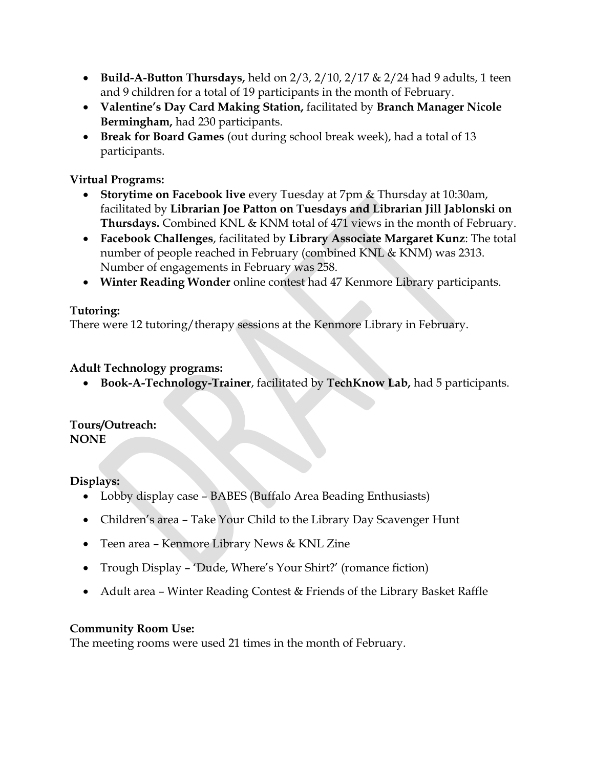- **Build-A-Button Thursdays,** held on 2/3, 2/10, 2/17 & 2/24 had 9 adults, 1 teen and 9 children for a total of 19 participants in the month of February.
- **Valentine's Day Card Making Station,** facilitated by **Branch Manager Nicole Bermingham,** had 230 participants.
- **Break for Board Games** (out during school break week), had a total of 13 participants.

# **Virtual Programs:**

- **Storytime on Facebook live** every Tuesday at 7pm & Thursday at 10:30am, facilitated by **Librarian Joe Patton on Tuesdays and Librarian Jill Jablonski on Thursdays.** Combined KNL & KNM total of 471 views in the month of February.
- **Facebook Challenges**, facilitated by **Library Associate Margaret Kunz**: The total number of people reached in February (combined KNL & KNM) was 2313. Number of engagements in February was 258.
- **Winter Reading Wonder** online contest had 47 Kenmore Library participants.

## **Tutoring:**

There were 12 tutoring/therapy sessions at the Kenmore Library in February.

## **Adult Technology programs:**

**Book-A-Technology-Trainer**, facilitated by **TechKnow Lab,** had 5 participants.

#### **Tours/Outreach: NONE**

**Displays:**

- Lobby display case BABES (Buffalo Area Beading Enthusiasts)
- Children's area Take Your Child to the Library Day Scavenger Hunt
- Teen area Kenmore Library News & KNL Zine
- Trough Display 'Dude, Where's Your Shirt?' (romance fiction)
- Adult area Winter Reading Contest & Friends of the Library Basket Raffle

## **Community Room Use:**

The meeting rooms were used 21 times in the month of February.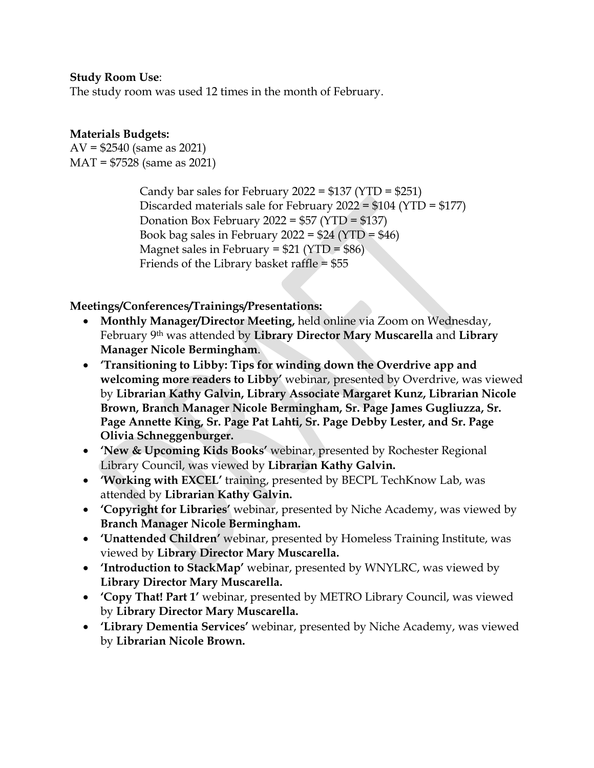#### **Study Room Use**:

The study room was used 12 times in the month of February.

# **Materials Budgets:**

 $AV = $2540$  (same as 2021) MAT = \$7528 (same as 2021)

> Candy bar sales for February 2022 =  $$137 (YTD = $251)$ Discarded materials sale for February 2022 = \$104 (YTD = \$177) Donation Box February 2022 = \$57 (YTD = \$137) Book bag sales in February 2022 =  $$24 (YTD = $46)$ Magnet sales in February =  $$21 (YTD = $86)$ Friends of the Library basket raffle  $= $55$

**Meetings/Conferences/Trainings/Presentations:**

- **Monthly Manager/Director Meeting,** held online via Zoom on Wednesday, February 9th was attended by **Library Director Mary Muscarella** and **Library Manager Nicole Bermingham**.
- **'Transitioning to Libby: Tips for winding down the Overdrive app and welcoming more readers to Libby'** webinar, presented by Overdrive, was viewed by **Librarian Kathy Galvin, Library Associate Margaret Kunz, Librarian Nicole Brown, Branch Manager Nicole Bermingham, Sr. Page James Gugliuzza, Sr. Page Annette King, Sr. Page Pat Lahti, Sr. Page Debby Lester, and Sr. Page Olivia Schneggenburger.**
- **'New & Upcoming Kids Books'** webinar, presented by Rochester Regional Library Council, was viewed by **Librarian Kathy Galvin.**
- **'Working with EXCEL'** training, presented by BECPL TechKnow Lab, was attended by **Librarian Kathy Galvin.**
- **'Copyright for Libraries'** webinar, presented by Niche Academy, was viewed by **Branch Manager Nicole Bermingham.**
- **'Unattended Children'** webinar, presented by Homeless Training Institute, was viewed by **Library Director Mary Muscarella.**
- **Introduction to StackMap'** webinar, presented by WNYLRC, was viewed by **Library Director Mary Muscarella.**
- **'Copy That! Part 1'** webinar, presented by METRO Library Council, was viewed by **Library Director Mary Muscarella.**
- **'Library Dementia Services'** webinar, presented by Niche Academy, was viewed by **Librarian Nicole Brown.**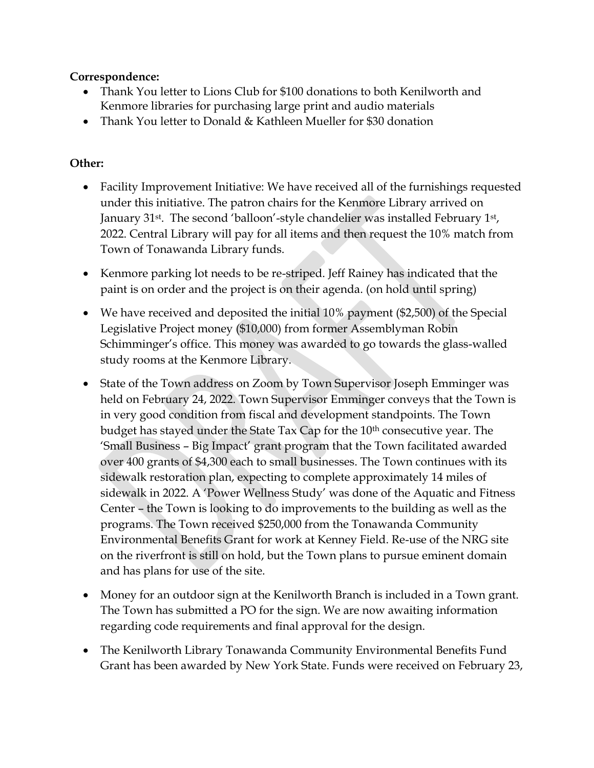## **Correspondence:**

- Thank You letter to Lions Club for \$100 donations to both Kenilworth and Kenmore libraries for purchasing large print and audio materials
- Thank You letter to Donald & Kathleen Mueller for \$30 donation

# **Other:**

- Facility Improvement Initiative: We have received all of the furnishings requested under this initiative. The patron chairs for the Kenmore Library arrived on January 31<sup>st</sup>. The second 'balloon'-style chandelier was installed February 1<sup>st</sup>, 2022. Central Library will pay for all items and then request the 10% match from Town of Tonawanda Library funds.
- Kenmore parking lot needs to be re-striped. Jeff Rainey has indicated that the paint is on order and the project is on their agenda. (on hold until spring)
- We have received and deposited the initial 10% payment (\$2,500) of the Special Legislative Project money (\$10,000) from former Assemblyman Robin Schimminger's office. This money was awarded to go towards the glass-walled study rooms at the Kenmore Library.
- State of the Town address on Zoom by Town Supervisor Joseph Emminger was held on February 24, 2022. Town Supervisor Emminger conveys that the Town is in very good condition from fiscal and development standpoints. The Town budget has stayed under the State Tax Cap for the 10<sup>th</sup> consecutive year. The 'Small Business – Big Impact' grant program that the Town facilitated awarded over 400 grants of \$4,300 each to small businesses. The Town continues with its sidewalk restoration plan, expecting to complete approximately 14 miles of sidewalk in 2022. A 'Power Wellness Study' was done of the Aquatic and Fitness Center – the Town is looking to do improvements to the building as well as the programs. The Town received \$250,000 from the Tonawanda Community Environmental Benefits Grant for work at Kenney Field. Re-use of the NRG site on the riverfront is still on hold, but the Town plans to pursue eminent domain and has plans for use of the site.
- Money for an outdoor sign at the Kenilworth Branch is included in a Town grant. The Town has submitted a PO for the sign. We are now awaiting information regarding code requirements and final approval for the design.
- The Kenilworth Library Tonawanda Community Environmental Benefits Fund Grant has been awarded by New York State. Funds were received on February 23,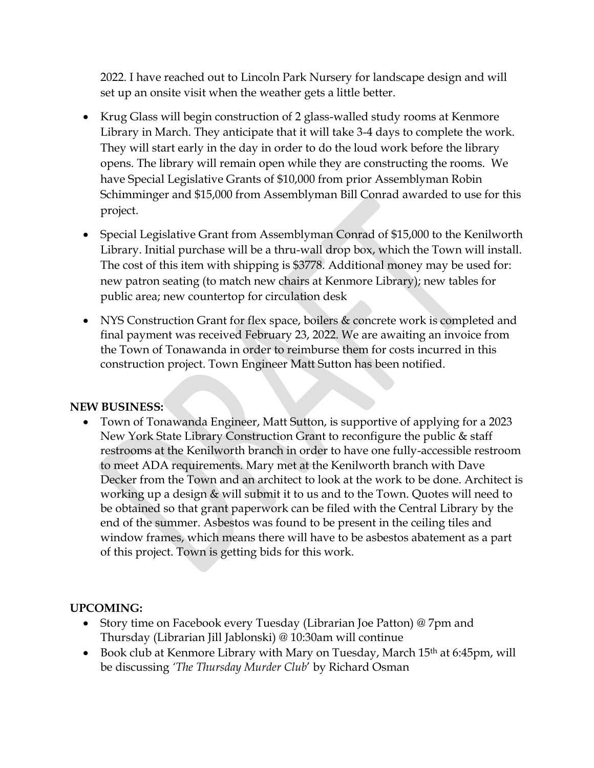2022. I have reached out to Lincoln Park Nursery for landscape design and will set up an onsite visit when the weather gets a little better.

- Krug Glass will begin construction of 2 glass-walled study rooms at Kenmore Library in March. They anticipate that it will take 3-4 days to complete the work. They will start early in the day in order to do the loud work before the library opens. The library will remain open while they are constructing the rooms. We have Special Legislative Grants of \$10,000 from prior Assemblyman Robin Schimminger and \$15,000 from Assemblyman Bill Conrad awarded to use for this project.
- Special Legislative Grant from Assemblyman Conrad of \$15,000 to the Kenilworth Library. Initial purchase will be a thru-wall drop box, which the Town will install. The cost of this item with shipping is \$3778. Additional money may be used for: new patron seating (to match new chairs at Kenmore Library); new tables for public area; new countertop for circulation desk
- NYS Construction Grant for flex space, boilers & concrete work is completed and final payment was received February 23, 2022. We are awaiting an invoice from the Town of Tonawanda in order to reimburse them for costs incurred in this construction project. Town Engineer Matt Sutton has been notified.

## **NEW BUSINESS:**

 Town of Tonawanda Engineer, Matt Sutton, is supportive of applying for a 2023 New York State Library Construction Grant to reconfigure the public & staff restrooms at the Kenilworth branch in order to have one fully-accessible restroom to meet ADA requirements. Mary met at the Kenilworth branch with Dave Decker from the Town and an architect to look at the work to be done. Architect is working up a design & will submit it to us and to the Town. Quotes will need to be obtained so that grant paperwork can be filed with the Central Library by the end of the summer. Asbestos was found to be present in the ceiling tiles and window frames, which means there will have to be asbestos abatement as a part of this project. Town is getting bids for this work.

## **UPCOMING:**

- Story time on Facebook every Tuesday (Librarian Joe Patton) @ 7pm and Thursday (Librarian Jill Jablonski) @ 10:30am will continue
- Book club at Kenmore Library with Mary on Tuesday, March 15<sup>th</sup> at 6:45pm, will be discussing *'The Thursday Murder Club*' by Richard Osman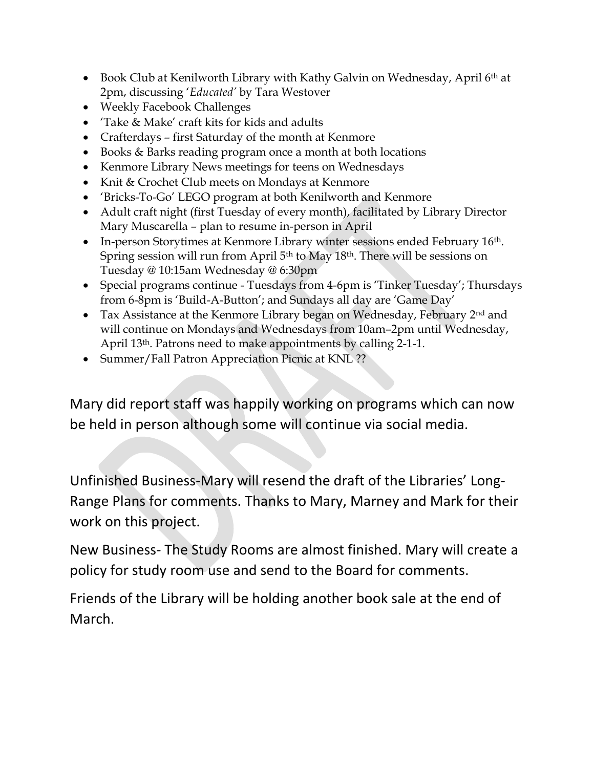- Book Club at Kenilworth Library with Kathy Galvin on Wednesday, April  $6<sup>th</sup>$  at 2pm, discussing '*Educated'* by Tara Westover
- Weekly Facebook Challenges
- 'Take & Make' craft kits for kids and adults
- Crafterdays first Saturday of the month at Kenmore
- Books & Barks reading program once a month at both locations
- Kenmore Library News meetings for teens on Wednesdays
- Knit & Crochet Club meets on Mondays at Kenmore
- 'Bricks-To-Go' LEGO program at both Kenilworth and Kenmore
- Adult craft night (first Tuesday of every month), facilitated by Library Director Mary Muscarella – plan to resume in-person in April
- In-person Storytimes at Kenmore Library winter sessions ended February 16<sup>th</sup>. Spring session will run from April 5th to May 18th. There will be sessions on Tuesday @ 10:15am Wednesday @ 6:30pm
- Special programs continue Tuesdays from 4-6pm is 'Tinker Tuesday'; Thursdays from 6-8pm is 'Build-A-Button'; and Sundays all day are 'Game Day'
- Tax Assistance at the Kenmore Library began on Wednesday, February 2<sup>nd</sup> and will continue on Mondays and Wednesdays from 10am–2pm until Wednesday, April 13th. Patrons need to make appointments by calling 2-1-1.
- Summer/Fall Patron Appreciation Picnic at KNL ??

Mary did report staff was happily working on programs which can now be held in person although some will continue via social media.

Unfinished Business-Mary will resend the draft of the Libraries' Long-Range Plans for comments. Thanks to Mary, Marney and Mark for their work on this project.

New Business- The Study Rooms are almost finished. Mary will create a policy for study room use and send to the Board for comments.

Friends of the Library will be holding another book sale at the end of March.